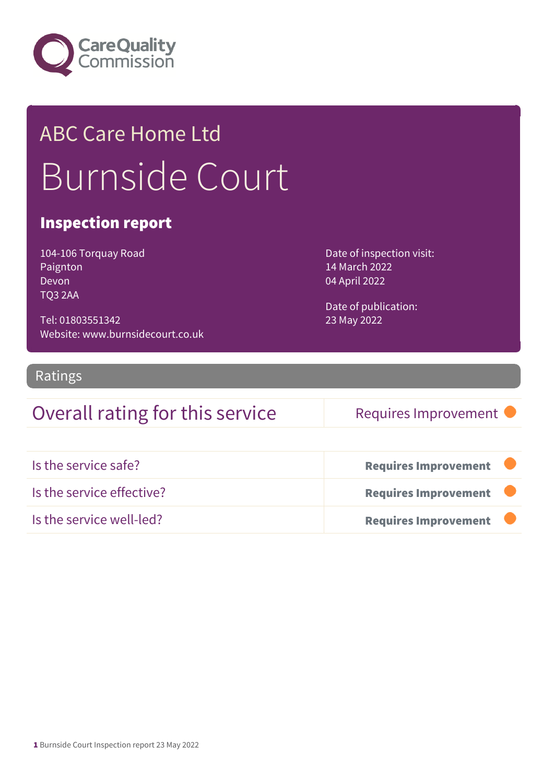

## ABC Care Home Ltd Burnside Court

#### Inspection report

104-106 Torquay Road Paignton Devon TQ3 2AA

Tel: 01803551342 Website: www.burnsidecourt.co.uk Date of inspection visit: 14 March 2022 04 April 2022

Date of publication: 23 May 2022

#### Ratings

### Overall rating for this service Requires Improvement

| Is the service safe?      | <b>Requires Improvement</b> |
|---------------------------|-----------------------------|
| Is the service effective? | <b>Requires Improvement</b> |
| Is the service well-led?  | <b>Requires Improvement</b> |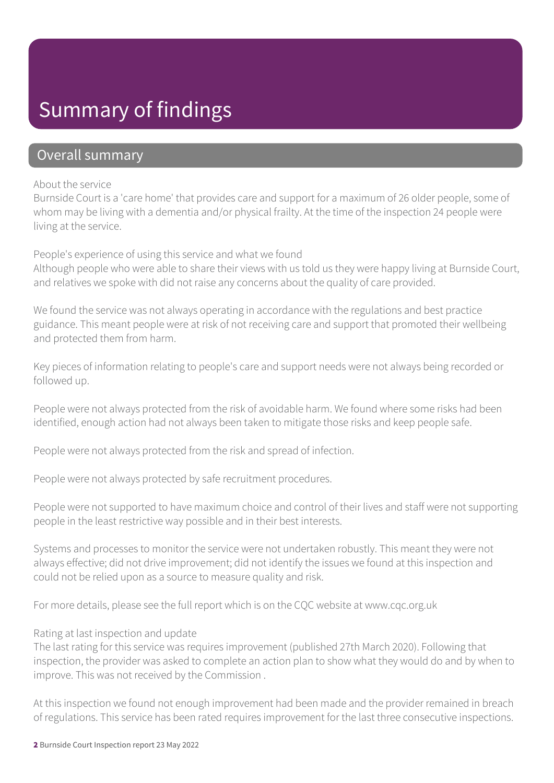### Summary of findings

#### Overall summary

#### About the service

Burnside Court is a 'care home' that provides care and support for a maximum of 26 older people, some of whom may be living with a dementia and/or physical frailty. At the time of the inspection 24 people were living at the service.

People's experience of using this service and what we found

Although people who were able to share their views with us told us they were happy living at Burnside Court, and relatives we spoke with did not raise any concerns about the quality of care provided.

We found the service was not always operating in accordance with the regulations and best practice guidance. This meant people were at risk of not receiving care and support that promoted their wellbeing and protected them from harm.

Key pieces of information relating to people's care and support needs were not always being recorded or followed up.

People were not always protected from the risk of avoidable harm. We found where some risks had been identified, enough action had not always been taken to mitigate those risks and keep people safe.

People were not always protected from the risk and spread of infection.

People were not always protected by safe recruitment procedures.

People were not supported to have maximum choice and control of their lives and staff were not supporting people in the least restrictive way possible and in their best interests.

Systems and processes to monitor the service were not undertaken robustly. This meant they were not always effective; did not drive improvement; did not identify the issues we found at this inspection and could not be relied upon as a source to measure quality and risk.

For more details, please see the full report which is on the CQC website at www.cqc.org.uk

#### Rating at last inspection and update

The last rating for this service was requires improvement (published 27th March 2020). Following that inspection, the provider was asked to complete an action plan to show what they would do and by when to improve. This was not received by the Commission .

At this inspection we found not enough improvement had been made and the provider remained in breach of regulations. This service has been rated requires improvement for the last three consecutive inspections.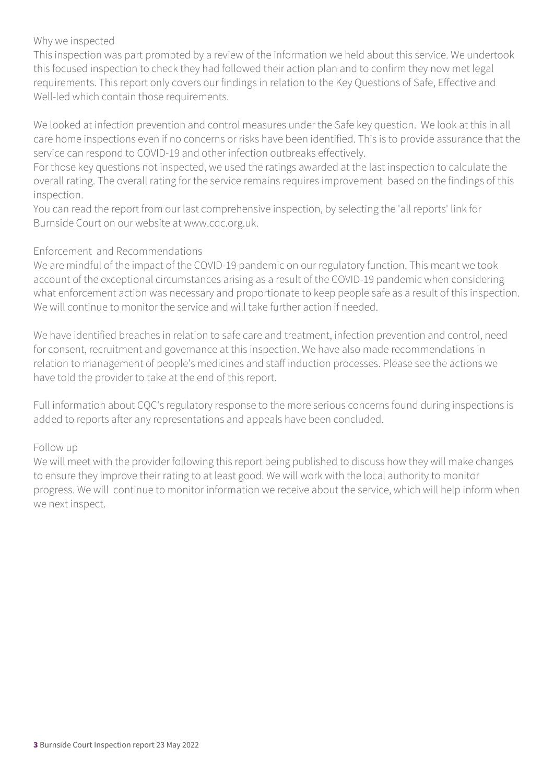#### Why we inspected

This inspection was part prompted by a review of the information we held about this service. We undertook this focused inspection to check they had followed their action plan and to confirm they now met legal requirements. This report only covers our findings in relation to the Key Questions of Safe, Effective and Well-led which contain those requirements.

We looked at infection prevention and control measures under the Safe key question. We look at this in all care home inspections even if no concerns or risks have been identified. This is to provide assurance that the service can respond to COVID-19 and other infection outbreaks effectively.

For those key questions not inspected, we used the ratings awarded at the last inspection to calculate the overall rating. The overall rating for the service remains requires improvement based on the findings of this inspection.

You can read the report from our last comprehensive inspection, by selecting the 'all reports' link for Burnside Court on our website at www.cqc.org.uk.

#### Enforcement and Recommendations

We are mindful of the impact of the COVID-19 pandemic on our regulatory function. This meant we took account of the exceptional circumstances arising as a result of the COVID-19 pandemic when considering what enforcement action was necessary and proportionate to keep people safe as a result of this inspection. We will continue to monitor the service and will take further action if needed.

We have identified breaches in relation to safe care and treatment, infection prevention and control, need for consent, recruitment and governance at this inspection. We have also made recommendations in relation to management of people's medicines and staff induction processes. Please see the actions we have told the provider to take at the end of this report.

Full information about CQC's regulatory response to the more serious concerns found during inspections is added to reports after any representations and appeals have been concluded.

#### Follow up

We will meet with the provider following this report being published to discuss how they will make changes to ensure they improve their rating to at least good. We will work with the local authority to monitor progress. We will continue to monitor information we receive about the service, which will help inform when we next inspect.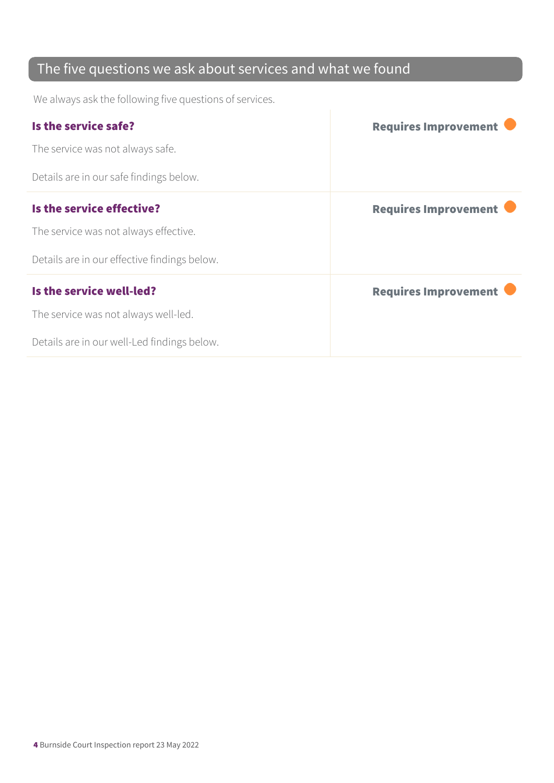### The five questions we ask about services and what we found

We always ask the following five questions of services.

| Is the service safe?                         | <b>Requires Improvement</b> |
|----------------------------------------------|-----------------------------|
| The service was not always safe.             |                             |
| Details are in our safe findings below.      |                             |
| Is the service effective?                    | <b>Requires Improvement</b> |
| The service was not always effective.        |                             |
| Details are in our effective findings below. |                             |
| Is the service well-led?                     | <b>Requires Improvement</b> |
| The service was not always well-led.         |                             |
| Details are in our well-Led findings below.  |                             |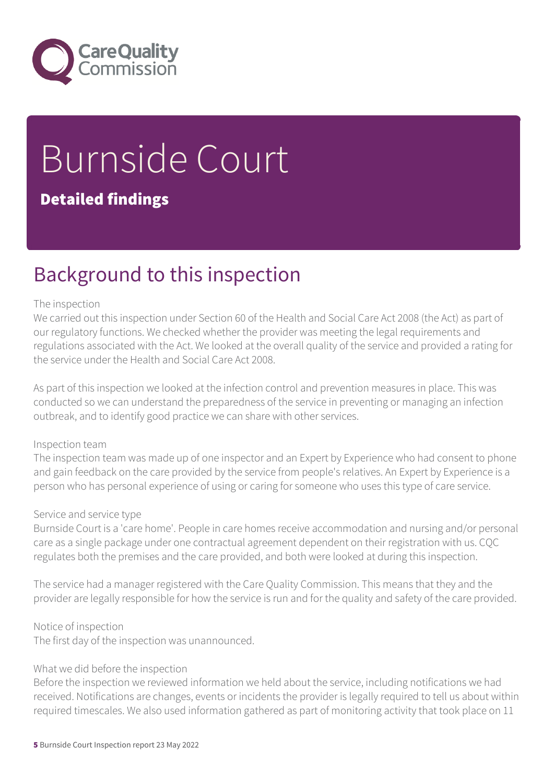

# Burnside Court

#### Detailed findings

### Background to this inspection

#### The inspection

We carried out this inspection under Section 60 of the Health and Social Care Act 2008 (the Act) as part of our regulatory functions. We checked whether the provider was meeting the legal requirements and regulations associated with the Act. We looked at the overall quality of the service and provided a rating for the service under the Health and Social Care Act 2008.

As part of this inspection we looked at the infection control and prevention measures in place. This was conducted so we can understand the preparedness of the service in preventing or managing an infection outbreak, and to identify good practice we can share with other services.

#### Inspection team

The inspection team was made up of one inspector and an Expert by Experience who had consent to phone and gain feedback on the care provided by the service from people's relatives. An Expert by Experience is a person who has personal experience of using or caring for someone who uses this type of care service.

#### Service and service type

Burnside Court is a 'care home'. People in care homes receive accommodation and nursing and/or personal care as a single package under one contractual agreement dependent on their registration with us. CQC regulates both the premises and the care provided, and both were looked at during this inspection.

The service had a manager registered with the Care Quality Commission. This means that they and the provider are legally responsible for how the service is run and for the quality and safety of the care provided.

Notice of inspection

The first day of the inspection was unannounced.

#### What we did before the inspection

Before the inspection we reviewed information we held about the service, including notifications we had received. Notifications are changes, events or incidents the provider is legally required to tell us about within required timescales. We also used information gathered as part of monitoring activity that took place on 11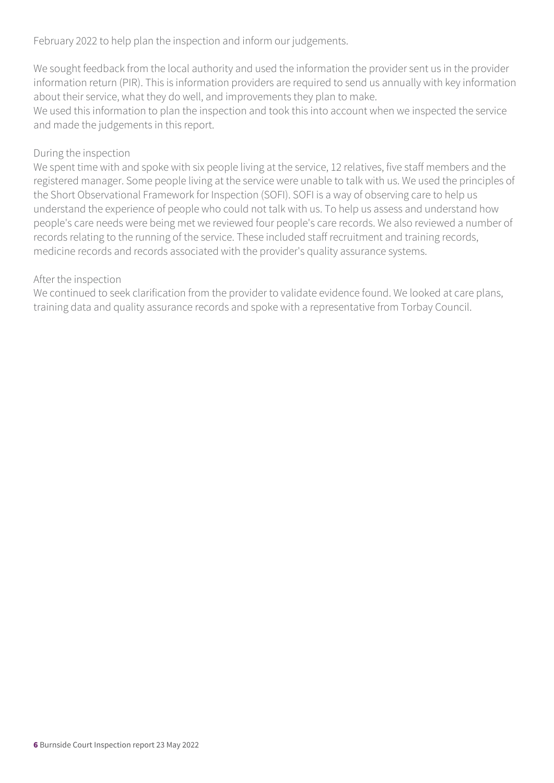February 2022 to help plan the inspection and inform our judgements.

We sought feedback from the local authority and used the information the provider sent us in the provider information return (PIR). This is information providers are required to send us annually with key information about their service, what they do well, and improvements they plan to make.

We used this information to plan the inspection and took this into account when we inspected the service and made the judgements in this report.

#### During the inspection

We spent time with and spoke with six people living at the service, 12 relatives, five staff members and the registered manager. Some people living at the service were unable to talk with us. We used the principles of the Short Observational Framework for Inspection (SOFI). SOFI is a way of observing care to help us understand the experience of people who could not talk with us. To help us assess and understand how people's care needs were being met we reviewed four people's care records. We also reviewed a number of records relating to the running of the service. These included staff recruitment and training records, medicine records and records associated with the provider's quality assurance systems.

#### After the inspection

We continued to seek clarification from the provider to validate evidence found. We looked at care plans, training data and quality assurance records and spoke with a representative from Torbay Council.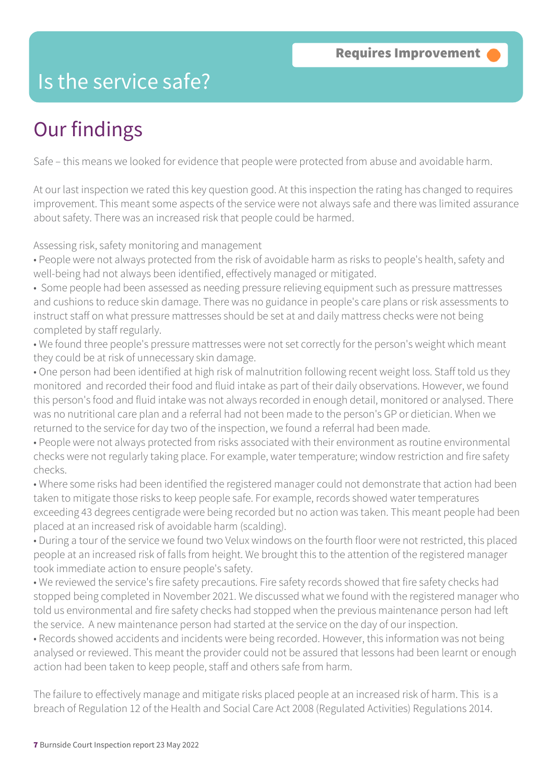### Is the service safe?

### Our findings

Safe – this means we looked for evidence that people were protected from abuse and avoidable harm.

At our last inspection we rated this key question good. At this inspection the rating has changed to requires improvement. This meant some aspects of the service were not always safe and there was limited assurance about safety. There was an increased risk that people could be harmed.

Assessing risk, safety monitoring and management

- People were not always protected from the risk of avoidable harm as risks to people's health, safety and well-being had not always been identified, effectively managed or mitigated.
- Some people had been assessed as needing pressure relieving equipment such as pressure mattresses and cushions to reduce skin damage. There was no guidance in people's care plans or risk assessments to instruct staff on what pressure mattresses should be set at and daily mattress checks were not being completed by staff regularly.
- We found three people's pressure mattresses were not set correctly for the person's weight which meant they could be at risk of unnecessary skin damage.
- One person had been identified at high risk of malnutrition following recent weight loss. Staff told us they monitored and recorded their food and fluid intake as part of their daily observations. However, we found this person's food and fluid intake was not always recorded in enough detail, monitored or analysed. There was no nutritional care plan and a referral had not been made to the person's GP or dietician. When we returned to the service for day two of the inspection, we found a referral had been made.
- People were not always protected from risks associated with their environment as routine environmental checks were not regularly taking place. For example, water temperature; window restriction and fire safety checks.
- Where some risks had been identified the registered manager could not demonstrate that action had been taken to mitigate those risks to keep people safe. For example, records showed water temperatures exceeding 43 degrees centigrade were being recorded but no action was taken. This meant people had been placed at an increased risk of avoidable harm (scalding).
- During a tour of the service we found two Velux windows on the fourth floor were not restricted, this placed people at an increased risk of falls from height. We brought this to the attention of the registered manager took immediate action to ensure people's safety.
- We reviewed the service's fire safety precautions. Fire safety records showed that fire safety checks had stopped being completed in November 2021. We discussed what we found with the registered manager who told us environmental and fire safety checks had stopped when the previous maintenance person had left the service. A new maintenance person had started at the service on the day of our inspection.
- Records showed accidents and incidents were being recorded. However, this information was not being analysed or reviewed. This meant the provider could not be assured that lessons had been learnt or enough action had been taken to keep people, staff and others safe from harm.
- The failure to effectively manage and mitigate risks placed people at an increased risk of harm. This is a breach of Regulation 12 of the Health and Social Care Act 2008 (Regulated Activities) Regulations 2014.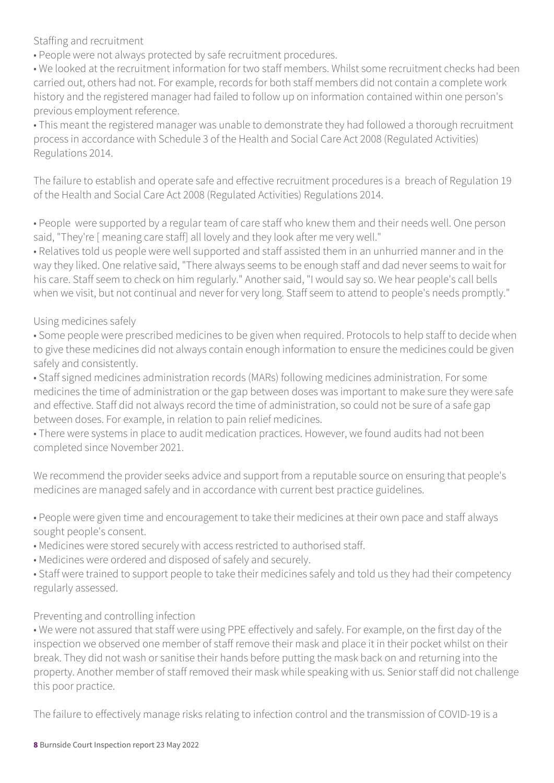Staffing and recruitment

• People were not always protected by safe recruitment procedures.

• We looked at the recruitment information for two staff members. Whilst some recruitment checks had been carried out, others had not. For example, records for both staff members did not contain a complete work history and the registered manager had failed to follow up on information contained within one person's previous employment reference.

• This meant the registered manager was unable to demonstrate they had followed a thorough recruitment process in accordance with Schedule 3 of the Health and Social Care Act 2008 (Regulated Activities) Regulations 2014.

The failure to establish and operate safe and effective recruitment procedures is a breach of Regulation 19 of the Health and Social Care Act 2008 (Regulated Activities) Regulations 2014.

• People were supported by a regular team of care staff who knew them and their needs well. One person said, "They're [ meaning care staff] all lovely and they look after me very well."

• Relatives told us people were well supported and staff assisted them in an unhurried manner and in the way they liked. One relative said, "There always seems to be enough staff and dad never seems to wait for his care. Staff seem to check on him regularly." Another said, "I would say so. We hear people's call bells when we visit, but not continual and never for very long. Staff seem to attend to people's needs promptly."

#### Using medicines safely

• Some people were prescribed medicines to be given when required. Protocols to help staff to decide when to give these medicines did not always contain enough information to ensure the medicines could be given safely and consistently.

• Staff signed medicines administration records (MARs) following medicines administration. For some medicines the time of administration or the gap between doses was important to make sure they were safe and effective. Staff did not always record the time of administration, so could not be sure of a safe gap between doses. For example, in relation to pain relief medicines.

• There were systems in place to audit medication practices. However, we found audits had not been completed since November 2021.

We recommend the provider seeks advice and support from a reputable source on ensuring that people's medicines are managed safely and in accordance with current best practice guidelines.

• People were given time and encouragement to take their medicines at their own pace and staff always sought people's consent.

- Medicines were stored securely with access restricted to authorised staff.
- Medicines were ordered and disposed of safely and securely.

• Staff were trained to support people to take their medicines safely and told us they had their competency regularly assessed.

#### Preventing and controlling infection

• We were not assured that staff were using PPE effectively and safely. For example, on the first day of the inspection we observed one member of staff remove their mask and place it in their pocket whilst on their break. They did not wash or sanitise their hands before putting the mask back on and returning into the property. Another member of staff removed their mask while speaking with us. Senior staff did not challenge this poor practice.

The failure to effectively manage risks relating to infection control and the transmission of COVID-19 is a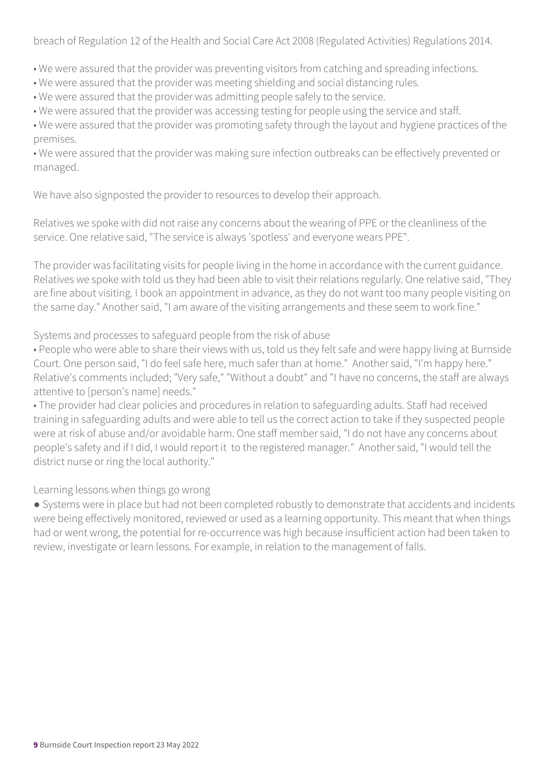breach of Regulation 12 of the Health and Social Care Act 2008 (Regulated Activities) Regulations 2014.

• We were assured that the provider was preventing visitors from catching and spreading infections.

• We were assured that the provider was meeting shielding and social distancing rules.

• We were assured that the provider was admitting people safely to the service.

• We were assured that the provider was accessing testing for people using the service and staff.

• We were assured that the provider was promoting safety through the layout and hygiene practices of the premises.

• We were assured that the provider was making sure infection outbreaks can be effectively prevented or managed.

We have also signposted the provider to resources to develop their approach.

Relatives we spoke with did not raise any concerns about the wearing of PPE or the cleanliness of the service. One relative said, "The service is always 'spotless' and everyone wears PPE".

The provider was facilitating visits for people living in the home in accordance with the current guidance. Relatives we spoke with told us they had been able to visit their relations regularly. One relative said, "They are fine about visiting. I book an appointment in advance, as they do not want too many people visiting on the same day." Another said, "I am aware of the visiting arrangements and these seem to work fine."

Systems and processes to safeguard people from the risk of abuse

• People who were able to share their views with us, told us they felt safe and were happy living at Burnside Court. One person said, "I do feel safe here, much safer than at home." Another said, "I'm happy here." Relative's comments included; "Very safe," "Without a doubt" and "I have no concerns, the staff are always attentive to [person's name] needs."

• The provider had clear policies and procedures in relation to safeguarding adults. Staff had received training in safeguarding adults and were able to tell us the correct action to take if they suspected people were at risk of abuse and/or avoidable harm. One staff member said, "I do not have any concerns about people's safety and if I did, I would report it to the registered manager." Another said, "I would tell the district nurse or ring the local authority."

Learning lessons when things go wrong

● Systems were in place but had not been completed robustly to demonstrate that accidents and incidents were being effectively monitored, reviewed or used as a learning opportunity. This meant that when things had or went wrong, the potential for re-occurrence was high because insufficient action had been taken to review, investigate or learn lessons. For example, in relation to the management of falls.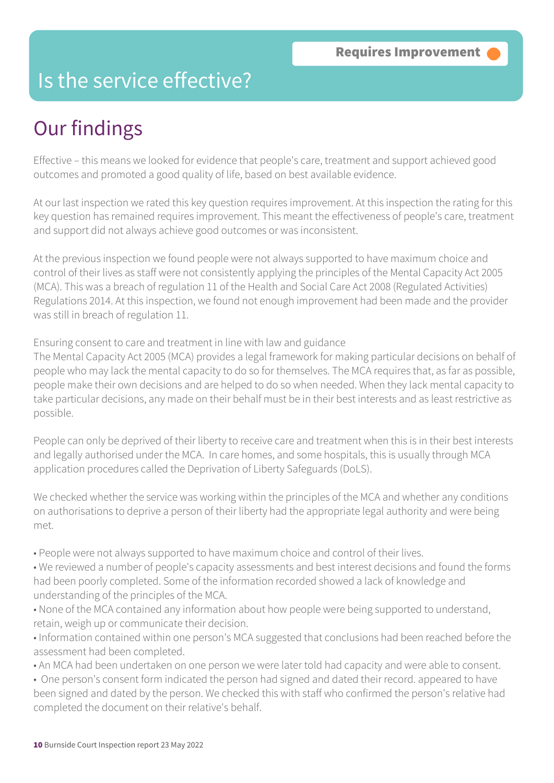### Is the service effective?

### Our findings

Effective – this means we looked for evidence that people's care, treatment and support achieved good outcomes and promoted a good quality of life, based on best available evidence.

At our last inspection we rated this key question requires improvement. At this inspection the rating for this key question has remained requires improvement. This meant the effectiveness of people's care, treatment and support did not always achieve good outcomes or was inconsistent.

At the previous inspection we found people were not always supported to have maximum choice and control of their lives as staff were not consistently applying the principles of the Mental Capacity Act 2005 (MCA). This was a breach of regulation 11 of the Health and Social Care Act 2008 (Regulated Activities) Regulations 2014. At this inspection, we found not enough improvement had been made and the provider was still in breach of regulation 11.

Ensuring consent to care and treatment in line with law and guidance

The Mental Capacity Act 2005 (MCA) provides a legal framework for making particular decisions on behalf of people who may lack the mental capacity to do so for themselves. The MCA requires that, as far as possible, people make their own decisions and are helped to do so when needed. When they lack mental capacity to take particular decisions, any made on their behalf must be in their best interests and as least restrictive as possible.

People can only be deprived of their liberty to receive care and treatment when this is in their best interests and legally authorised under the MCA. In care homes, and some hospitals, this is usually through MCA application procedures called the Deprivation of Liberty Safeguards (DoLS).

We checked whether the service was working within the principles of the MCA and whether any conditions on authorisations to deprive a person of their liberty had the appropriate legal authority and were being met.

- People were not always supported to have maximum choice and control of their lives.
- We reviewed a number of people's capacity assessments and best interest decisions and found the forms had been poorly completed. Some of the information recorded showed a lack of knowledge and understanding of the principles of the MCA.
- None of the MCA contained any information about how people were being supported to understand, retain, weigh up or communicate their decision.
- Information contained within one person's MCA suggested that conclusions had been reached before the assessment had been completed.
- An MCA had been undertaken on one person we were later told had capacity and were able to consent.
- One person's consent form indicated the person had signed and dated their record. appeared to have been signed and dated by the person. We checked this with staff who confirmed the person's relative had completed the document on their relative's behalf.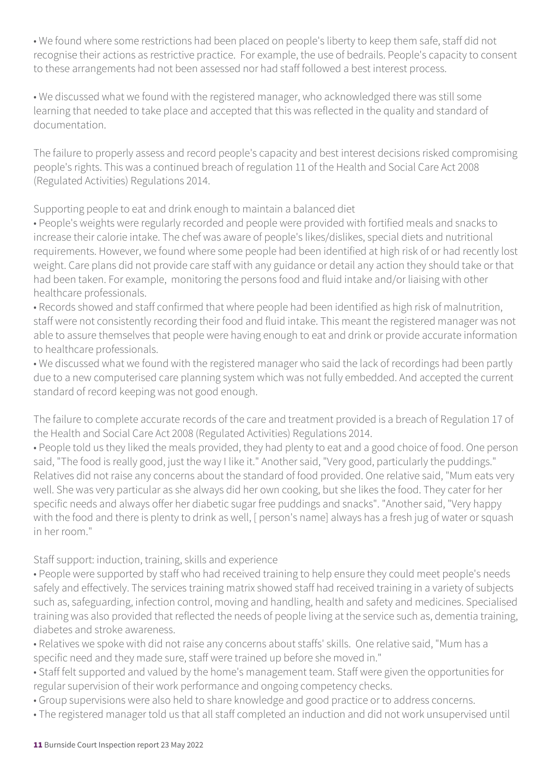• We found where some restrictions had been placed on people's liberty to keep them safe, staff did not recognise their actions as restrictive practice. For example, the use of bedrails. People's capacity to consent to these arrangements had not been assessed nor had staff followed a best interest process.

• We discussed what we found with the registered manager, who acknowledged there was still some learning that needed to take place and accepted that this was reflected in the quality and standard of documentation.

The failure to properly assess and record people's capacity and best interest decisions risked compromising people's rights. This was a continued breach of regulation 11 of the Health and Social Care Act 2008 (Regulated Activities) Regulations 2014.

Supporting people to eat and drink enough to maintain a balanced diet

• People's weights were regularly recorded and people were provided with fortified meals and snacks to increase their calorie intake. The chef was aware of people's likes/dislikes, special diets and nutritional requirements. However, we found where some people had been identified at high risk of or had recently lost weight. Care plans did not provide care staff with any guidance or detail any action they should take or that had been taken. For example, monitoring the persons food and fluid intake and/or liaising with other healthcare professionals.

• Records showed and staff confirmed that where people had been identified as high risk of malnutrition, staff were not consistently recording their food and fluid intake. This meant the registered manager was not able to assure themselves that people were having enough to eat and drink or provide accurate information to healthcare professionals.

• We discussed what we found with the registered manager who said the lack of recordings had been partly due to a new computerised care planning system which was not fully embedded. And accepted the current standard of record keeping was not good enough.

The failure to complete accurate records of the care and treatment provided is a breach of Regulation 17 of the Health and Social Care Act 2008 (Regulated Activities) Regulations 2014.

• People told us they liked the meals provided, they had plenty to eat and a good choice of food. One person said, "The food is really good, just the way I like it." Another said, "Very good, particularly the puddings." Relatives did not raise any concerns about the standard of food provided. One relative said, "Mum eats very well. She was very particular as she always did her own cooking, but she likes the food. They cater for her specific needs and always offer her diabetic sugar free puddings and snacks". "Another said, "Very happy with the food and there is plenty to drink as well, [ person's name] always has a fresh jug of water or squash in her room."

#### Staff support: induction, training, skills and experience

• People were supported by staff who had received training to help ensure they could meet people's needs safely and effectively. The services training matrix showed staff had received training in a variety of subjects such as, safeguarding, infection control, moving and handling, health and safety and medicines. Specialised training was also provided that reflected the needs of people living at the service such as, dementia training, diabetes and stroke awareness.

• Relatives we spoke with did not raise any concerns about staffs' skills. One relative said, "Mum has a specific need and they made sure, staff were trained up before she moved in."

- Staff felt supported and valued by the home's management team. Staff were given the opportunities for regular supervision of their work performance and ongoing competency checks.
- Group supervisions were also held to share knowledge and good practice or to address concerns.
- The registered manager told us that all staff completed an induction and did not work unsupervised until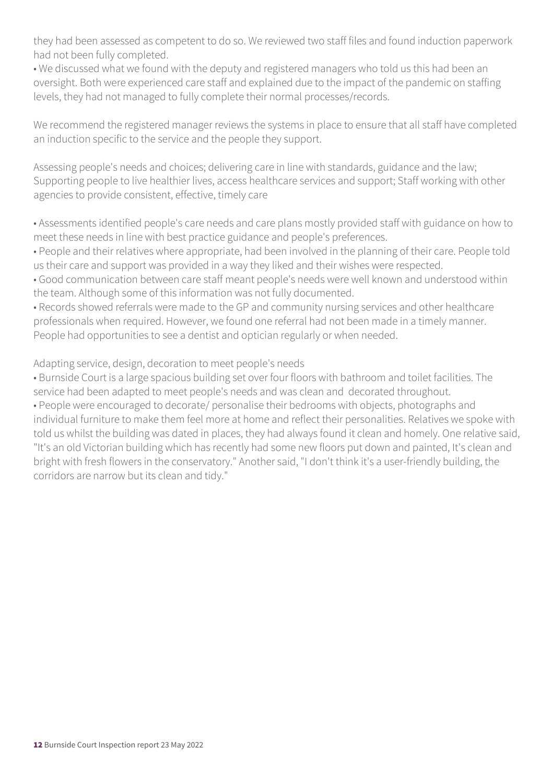they had been assessed as competent to do so. We reviewed two staff files and found induction paperwork had not been fully completed.

• We discussed what we found with the deputy and registered managers who told us this had been an oversight. Both were experienced care staff and explained due to the impact of the pandemic on staffing levels, they had not managed to fully complete their normal processes/records.

We recommend the registered manager reviews the systems in place to ensure that all staff have completed an induction specific to the service and the people they support.

Assessing people's needs and choices; delivering care in line with standards, guidance and the law; Supporting people to live healthier lives, access healthcare services and support; Staff working with other agencies to provide consistent, effective, timely care

• Assessments identified people's care needs and care plans mostly provided staff with guidance on how to meet these needs in line with best practice guidance and people's preferences.

• People and their relatives where appropriate, had been involved in the planning of their care. People told us their care and support was provided in a way they liked and their wishes were respected.

• Good communication between care staff meant people's needs were well known and understood within the team. Although some of this information was not fully documented.

• Records showed referrals were made to the GP and community nursing services and other healthcare professionals when required. However, we found one referral had not been made in a timely manner. People had opportunities to see a dentist and optician regularly or when needed.

Adapting service, design, decoration to meet people's needs

• Burnside Court is a large spacious building set over four floors with bathroom and toilet facilities. The service had been adapted to meet people's needs and was clean and decorated throughout.

• People were encouraged to decorate/ personalise their bedrooms with objects, photographs and individual furniture to make them feel more at home and reflect their personalities. Relatives we spoke with told us whilst the building was dated in places, they had always found it clean and homely. One relative said, "It's an old Victorian building which has recently had some new floors put down and painted, It's clean and bright with fresh flowers in the conservatory." Another said, "I don't think it's a user-friendly building, the corridors are narrow but its clean and tidy."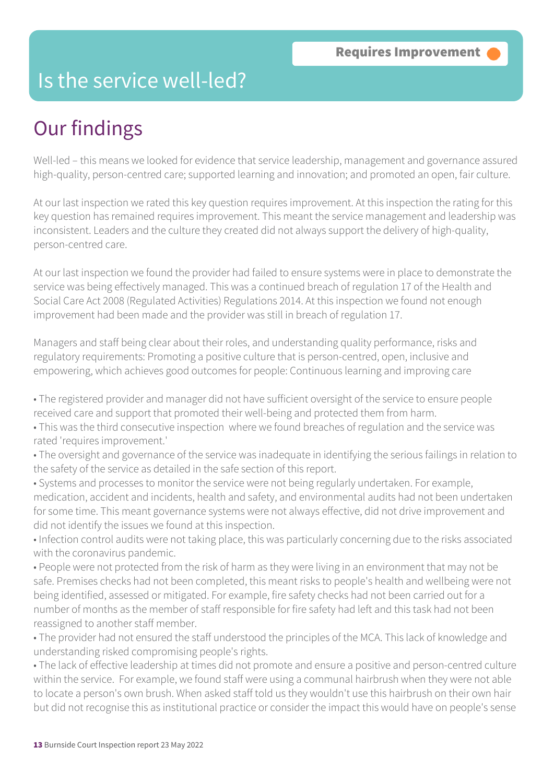### Is the service well-led?

### Our findings

Well-led – this means we looked for evidence that service leadership, management and governance assured high-quality, person-centred care; supported learning and innovation; and promoted an open, fair culture.

At our last inspection we rated this key question requires improvement. At this inspection the rating for this key question has remained requires improvement. This meant the service management and leadership was inconsistent. Leaders and the culture they created did not always support the delivery of high-quality, person-centred care.

At our last inspection we found the provider had failed to ensure systems were in place to demonstrate the service was being effectively managed. This was a continued breach of regulation 17 of the Health and Social Care Act 2008 (Regulated Activities) Regulations 2014. At this inspection we found not enough improvement had been made and the provider was still in breach of regulation 17.

Managers and staff being clear about their roles, and understanding quality performance, risks and regulatory requirements: Promoting a positive culture that is person-centred, open, inclusive and empowering, which achieves good outcomes for people: Continuous learning and improving care

• The registered provider and manager did not have sufficient oversight of the service to ensure people received care and support that promoted their well-being and protected them from harm.

• This was the third consecutive inspection where we found breaches of regulation and the service was rated 'requires improvement.'

• The oversight and governance of the service was inadequate in identifying the serious failings in relation to the safety of the service as detailed in the safe section of this report.

• Systems and processes to monitor the service were not being regularly undertaken. For example, medication, accident and incidents, health and safety, and environmental audits had not been undertaken for some time. This meant governance systems were not always effective, did not drive improvement and did not identify the issues we found at this inspection.

• Infection control audits were not taking place, this was particularly concerning due to the risks associated with the coronavirus pandemic.

• People were not protected from the risk of harm as they were living in an environment that may not be safe. Premises checks had not been completed, this meant risks to people's health and wellbeing were not being identified, assessed or mitigated. For example, fire safety checks had not been carried out for a number of months as the member of staff responsible for fire safety had left and this task had not been reassigned to another staff member.

• The provider had not ensured the staff understood the principles of the MCA. This lack of knowledge and understanding risked compromising people's rights.

• The lack of effective leadership at times did not promote and ensure a positive and person-centred culture within the service. For example, we found staff were using a communal hairbrush when they were not able to locate a person's own brush. When asked staff told us they wouldn't use this hairbrush on their own hair but did not recognise this as institutional practice or consider the impact this would have on people's sense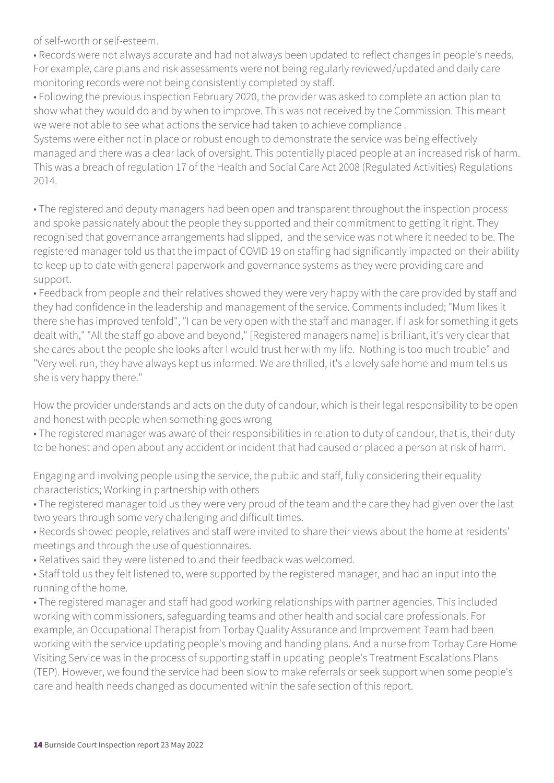of self-worth or self-esteem.

• Records were not always accurate and had not always been updated to reflect changes in people's needs. For example, care plans and risk assessments were not being regularly reviewed/updated and daily care monitoring records were not being consistently completed by staff.

• Following the previous inspection February 2020, the provider was asked to complete an action plan to show what they would do and by when to improve. This was not received by the Commission. This meant we were not able to see what actions the service had taken to achieve compliance .

Systems were either not in place or robust enough to demonstrate the service was being effectively managed and there was a clear lack of oversight. This potentially placed people at an increased risk of harm. This was a breach of regulation 17 of the Health and Social Care Act 2008 (Regulated Activities) Regulations 2014.

• The registered and deputy managers had been open and transparent throughout the inspection process and spoke passionately about the people they supported and their commitment to getting it right. They recognised that governance arrangements had slipped, and the service was not where it needed to be. The registered manager told us that the impact of COVID 19 on staffing had significantly impacted on their ability to keep up to date with general paperwork and governance systems as they were providing care and support.

• Feedback from people and their relatives showed they were very happy with the care provided by staff and they had confidence in the leadership and management of the service. Comments included; "Mum likes it there she has improved tenfold", "I can be very open with the staff and manager. If I ask for something it gets dealt with," "All the staff go above and beyond," [Registered managers name] is brilliant, it's very clear that she cares about the people she looks after I would trust her with my life. Nothing is too much trouble" and "Very well run, they have always kept us informed. We are thrilled, it's a lovely safe home and mum tells us she is very happy there."

How the provider understands and acts on the duty of candour, which is their legal responsibility to be open and honest with people when something goes wrong

• The registered manager was aware of their responsibilities in relation to duty of candour, that is, their duty to be honest and open about any accident or incident that had caused or placed a person at risk of harm.

Engaging and involving people using the service, the public and staff, fully considering their equality characteristics; Working in partnership with others

- The registered manager told us they were very proud of the team and the care they had given over the last two years through some very challenging and difficult times.
- Records showed people, relatives and staff were invited to share their views about the home at residents' meetings and through the use of questionnaires.
- Relatives said they were listened to and their feedback was welcomed.
- Staff told us they felt listened to, were supported by the registered manager, and had an input into the running of the home.

• The registered manager and staff had good working relationships with partner agencies. This included working with commissioners, safeguarding teams and other health and social care professionals. For example, an Occupational Therapist from Torbay Quality Assurance and Improvement Team had been working with the service updating people's moving and handing plans. And a nurse from Torbay Care Home Visiting Service was in the process of supporting staff in updating people's Treatment Escalations Plans (TEP). However, we found the service had been slow to make referrals or seek support when some people's care and health needs changed as documented within the safe section of this report.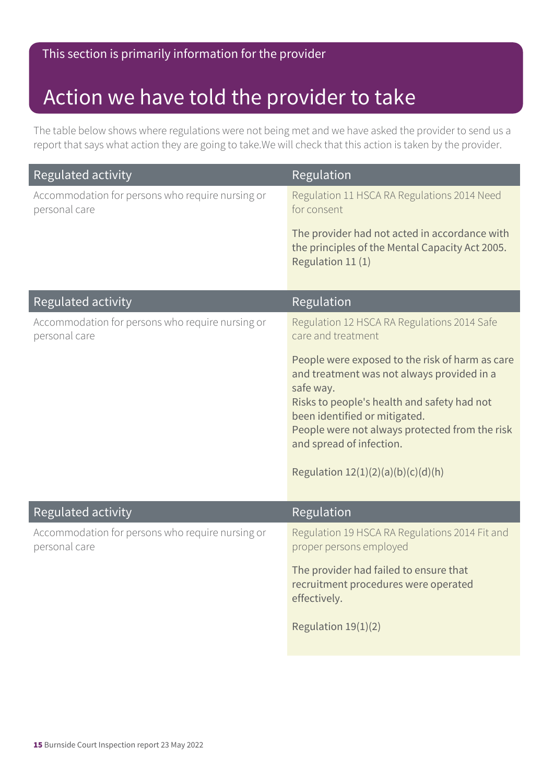### Action we have told the provider to take

The table below shows where regulations were not being met and we have asked the provider to send us a report that says what action they are going to take.We will check that this action is taken by the provider.

| <b>Regulated activity</b>                                         | Regulation                                                                                                                                                                                                                                                                                                       |
|-------------------------------------------------------------------|------------------------------------------------------------------------------------------------------------------------------------------------------------------------------------------------------------------------------------------------------------------------------------------------------------------|
| Accommodation for persons who require nursing or<br>personal care | Regulation 11 HSCA RA Regulations 2014 Need<br>for consent                                                                                                                                                                                                                                                       |
|                                                                   | The provider had not acted in accordance with<br>the principles of the Mental Capacity Act 2005.<br>Regulation 11 (1)                                                                                                                                                                                            |
| Regulated activity                                                | Regulation                                                                                                                                                                                                                                                                                                       |
| Accommodation for persons who require nursing or<br>personal care | Regulation 12 HSCA RA Regulations 2014 Safe<br>care and treatment                                                                                                                                                                                                                                                |
|                                                                   | People were exposed to the risk of harm as care<br>and treatment was not always provided in a<br>safe way.<br>Risks to people's health and safety had not<br>been identified or mitigated.<br>People were not always protected from the risk<br>and spread of infection.<br>Regulation $12(1)(2)(a)(b)(c)(d)(h)$ |
| Regulated activity                                                | Regulation                                                                                                                                                                                                                                                                                                       |
| Accommodation for persons who require nursing or<br>personal care | Regulation 19 HSCA RA Regulations 2014 Fit and<br>proper persons employed                                                                                                                                                                                                                                        |
|                                                                   | The provider had failed to ensure that<br>recruitment procedures were operated<br>effectively.                                                                                                                                                                                                                   |
|                                                                   | Regulation 19(1)(2)                                                                                                                                                                                                                                                                                              |